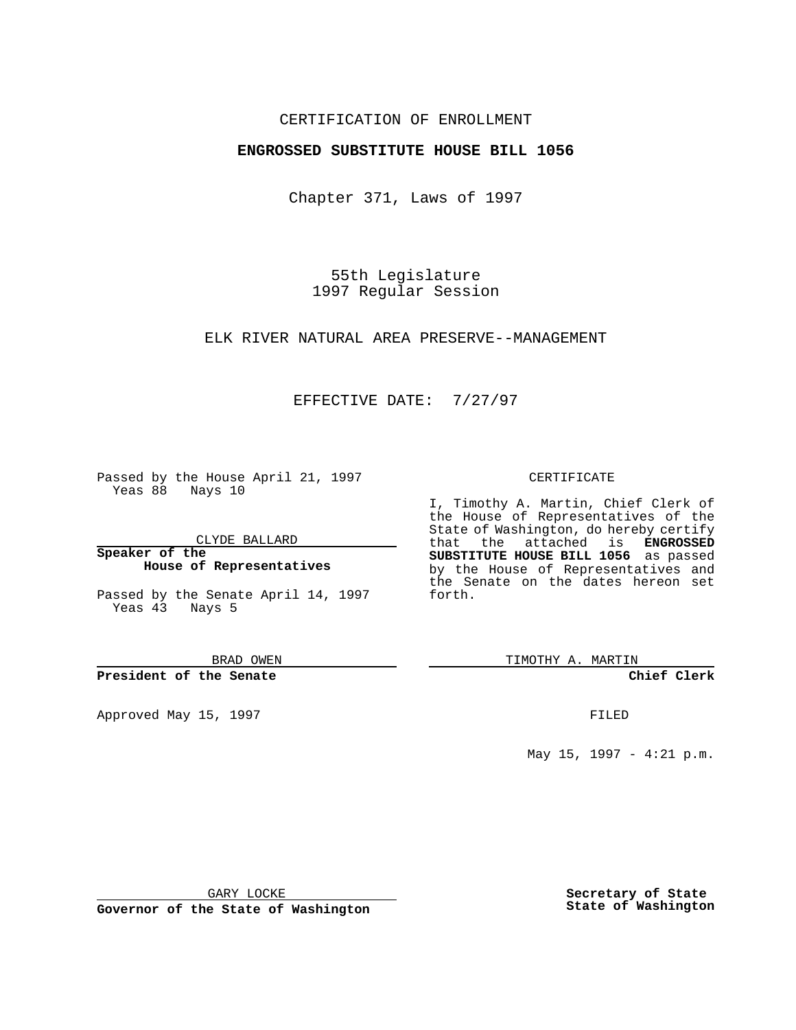## CERTIFICATION OF ENROLLMENT

## **ENGROSSED SUBSTITUTE HOUSE BILL 1056**

Chapter 371, Laws of 1997

55th Legislature 1997 Regular Session

ELK RIVER NATURAL AREA PRESERVE--MANAGEMENT

## EFFECTIVE DATE: 7/27/97

Passed by the House April 21, 1997 Yeas 88 Nays 10

CLYDE BALLARD

**Speaker of the House of Representatives**

Passed by the Senate April 14, 1997 Yeas 43 Nays 5

BRAD OWEN

**President of the Senate**

Approved May 15, 1997 **FILED** 

#### CERTIFICATE

I, Timothy A. Martin, Chief Clerk of the House of Representatives of the State of Washington, do hereby certify that the attached is **ENGROSSED SUBSTITUTE HOUSE BILL 1056** as passed by the House of Representatives and the Senate on the dates hereon set forth.

TIMOTHY A. MARTIN

**Chief Clerk**

May 15, 1997 - 4:21 p.m.

GARY LOCKE

**Governor of the State of Washington**

**Secretary of State State of Washington**